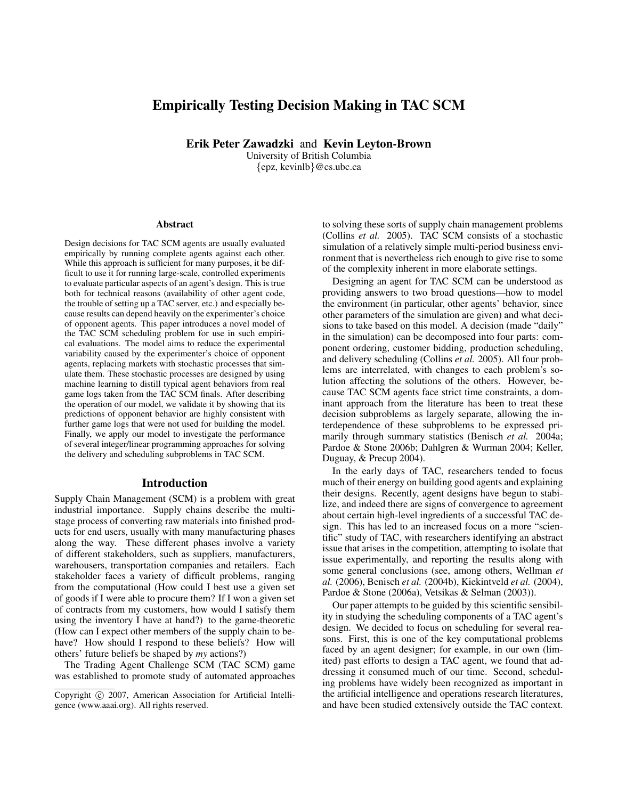# Empirically Testing Decision Making in TAC SCM

Erik Peter Zawadzki and Kevin Leyton-Brown

University of British Columbia {epz, kevinlb}@cs.ubc.ca

#### Abstract

Design decisions for TAC SCM agents are usually evaluated empirically by running complete agents against each other. While this approach is sufficient for many purposes, it be difficult to use it for running large-scale, controlled experiments to evaluate particular aspects of an agent's design. This is true both for technical reasons (availability of other agent code, the trouble of setting up a TAC server, etc.) and especially because results can depend heavily on the experimenter's choice of opponent agents. This paper introduces a novel model of the TAC SCM scheduling problem for use in such empirical evaluations. The model aims to reduce the experimental variability caused by the experimenter's choice of opponent agents, replacing markets with stochastic processes that simulate them. These stochastic processes are designed by using machine learning to distill typical agent behaviors from real game logs taken from the TAC SCM finals. After describing the operation of our model, we validate it by showing that its predictions of opponent behavior are highly consistent with further game logs that were not used for building the model. Finally, we apply our model to investigate the performance of several integer/linear programming approaches for solving the delivery and scheduling subproblems in TAC SCM.

### Introduction

Supply Chain Management (SCM) is a problem with great industrial importance. Supply chains describe the multistage process of converting raw materials into finished products for end users, usually with many manufacturing phases along the way. These different phases involve a variety of different stakeholders, such as suppliers, manufacturers, warehousers, transportation companies and retailers. Each stakeholder faces a variety of difficult problems, ranging from the computational (How could I best use a given set of goods if I were able to procure them? If I won a given set of contracts from my customers, how would I satisfy them using the inventory I have at hand?) to the game-theoretic (How can I expect other members of the supply chain to behave? How should I respond to these beliefs? How will others' future beliefs be shaped by *my* actions?)

The Trading Agent Challenge SCM (TAC SCM) game was established to promote study of automated approaches to solving these sorts of supply chain management problems (Collins *et al.* 2005). TAC SCM consists of a stochastic simulation of a relatively simple multi-period business environment that is nevertheless rich enough to give rise to some of the complexity inherent in more elaborate settings.

Designing an agent for TAC SCM can be understood as providing answers to two broad questions—how to model the environment (in particular, other agents' behavior, since other parameters of the simulation are given) and what decisions to take based on this model. A decision (made "daily" in the simulation) can be decomposed into four parts: component ordering, customer bidding, production scheduling, and delivery scheduling (Collins *et al.* 2005). All four problems are interrelated, with changes to each problem's solution affecting the solutions of the others. However, because TAC SCM agents face strict time constraints, a dominant approach from the literature has been to treat these decision subproblems as largely separate, allowing the interdependence of these subproblems to be expressed primarily through summary statistics (Benisch *et al.* 2004a; Pardoe & Stone 2006b; Dahlgren & Wurman 2004; Keller, Duguay, & Precup 2004).

In the early days of TAC, researchers tended to focus much of their energy on building good agents and explaining their designs. Recently, agent designs have begun to stabilize, and indeed there are signs of convergence to agreement about certain high-level ingredients of a successful TAC design. This has led to an increased focus on a more "scientific" study of TAC, with researchers identifying an abstract issue that arises in the competition, attempting to isolate that issue experimentally, and reporting the results along with some general conclusions (see, among others, Wellman *et al.* (2006), Benisch *et al.* (2004b), Kiekintveld *et al.* (2004), Pardoe & Stone (2006a), Vetsikas & Selman (2003)).

Our paper attempts to be guided by this scientific sensibility in studying the scheduling components of a TAC agent's design. We decided to focus on scheduling for several reasons. First, this is one of the key computational problems faced by an agent designer; for example, in our own (limited) past efforts to design a TAC agent, we found that addressing it consumed much of our time. Second, scheduling problems have widely been recognized as important in the artificial intelligence and operations research literatures, and have been studied extensively outside the TAC context.

Copyright © 2007, American Association for Artificial Intelligence (www.aaai.org). All rights reserved.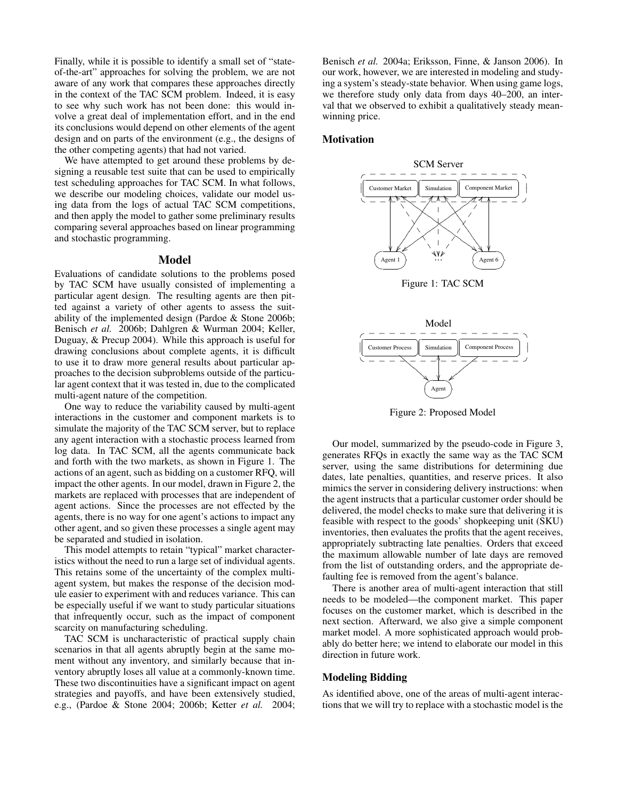Finally, while it is possible to identify a small set of "stateof-the-art" approaches for solving the problem, we are not aware of any work that compares these approaches directly in the context of the TAC SCM problem. Indeed, it is easy to see why such work has not been done: this would involve a great deal of implementation effort, and in the end its conclusions would depend on other elements of the agent design and on parts of the environment (e.g., the designs of the other competing agents) that had not varied.

We have attempted to get around these problems by designing a reusable test suite that can be used to empirically test scheduling approaches for TAC SCM. In what follows, we describe our modeling choices, validate our model using data from the logs of actual TAC SCM competitions, and then apply the model to gather some preliminary results comparing several approaches based on linear programming and stochastic programming.

### Model

Evaluations of candidate solutions to the problems posed by TAC SCM have usually consisted of implementing a particular agent design. The resulting agents are then pitted against a variety of other agents to assess the suitability of the implemented design (Pardoe & Stone 2006b; Benisch *et al.* 2006b; Dahlgren & Wurman 2004; Keller, Duguay, & Precup 2004). While this approach is useful for drawing conclusions about complete agents, it is difficult to use it to draw more general results about particular approaches to the decision subproblems outside of the particular agent context that it was tested in, due to the complicated multi-agent nature of the competition.

One way to reduce the variability caused by multi-agent interactions in the customer and component markets is to simulate the majority of the TAC SCM server, but to replace any agent interaction with a stochastic process learned from log data. In TAC SCM, all the agents communicate back and forth with the two markets, as shown in Figure 1. The actions of an agent, such as bidding on a customer RFQ, will impact the other agents. In our model, drawn in Figure 2, the markets are replaced with processes that are independent of agent actions. Since the processes are not effected by the agents, there is no way for one agent's actions to impact any other agent, and so given these processes a single agent may be separated and studied in isolation.

This model attempts to retain "typical" market characteristics without the need to run a large set of individual agents. This retains some of the uncertainty of the complex multiagent system, but makes the response of the decision module easier to experiment with and reduces variance. This can be especially useful if we want to study particular situations that infrequently occur, such as the impact of component scarcity on manufacturing scheduling.

TAC SCM is uncharacteristic of practical supply chain scenarios in that all agents abruptly begin at the same moment without any inventory, and similarly because that inventory abruptly loses all value at a commonly-known time. These two discontinuities have a significant impact on agent strategies and payoffs, and have been extensively studied, e.g., (Pardoe & Stone 2004; 2006b; Ketter *et al.* 2004;

Benisch *et al.* 2004a; Eriksson, Finne, & Janson 2006). In our work, however, we are interested in modeling and studying a system's steady-state behavior. When using game logs, we therefore study only data from days 40–200, an interval that we observed to exhibit a qualitatively steady meanwinning price.

## **Motivation**



Figure 1: TAC SCM



Figure 2: Proposed Model

Our model, summarized by the pseudo-code in Figure 3, generates RFQs in exactly the same way as the TAC SCM server, using the same distributions for determining due dates, late penalties, quantities, and reserve prices. It also mimics the server in considering delivery instructions: when the agent instructs that a particular customer order should be delivered, the model checks to make sure that delivering it is feasible with respect to the goods' shopkeeping unit (SKU) inventories, then evaluates the profits that the agent receives, appropriately subtracting late penalties. Orders that exceed the maximum allowable number of late days are removed from the list of outstanding orders, and the appropriate defaulting fee is removed from the agent's balance.

There is another area of multi-agent interaction that still needs to be modeled—the component market. This paper focuses on the customer market, which is described in the next section. Afterward, we also give a simple component market model. A more sophisticated approach would probably do better here; we intend to elaborate our model in this direction in future work.

#### Modeling Bidding

As identified above, one of the areas of multi-agent interactions that we will try to replace with a stochastic model is the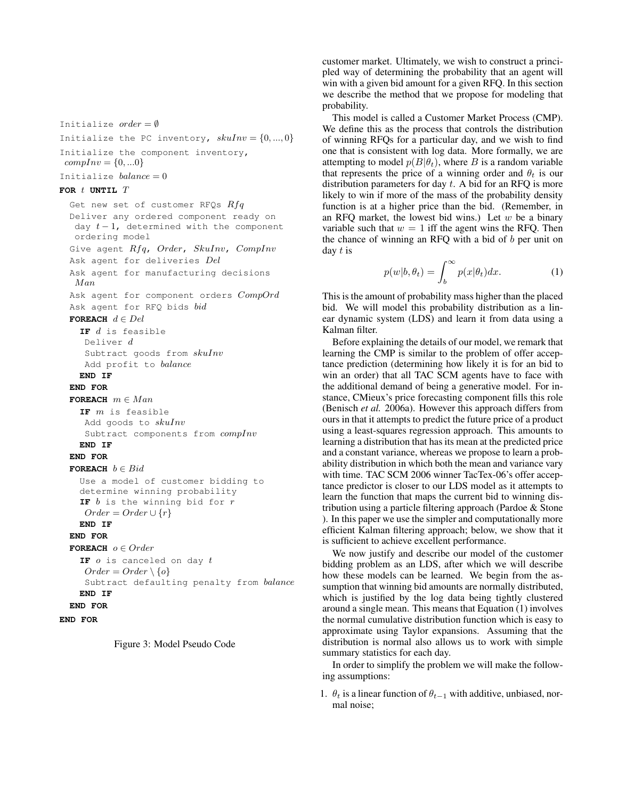Initialize the PC inventory,  $skulnv = \{0, ..., 0\}$ Initialize the component inventory,  $compInv = \{0, ...0\}$ Initialize  $balance = 0$ **FOR** t **UNTIL** T Get new set of customer RFQs  $Rfg$ Deliver any ordered component ready on day  $t-1$ , determined with the component ordering model Give agent Rfq, Order, SkuInv, CompInv Ask agent for deliveries Del

Ask agent for manufacturing decisions Man

Ask agent for component orders  $CompOrd$ 

```
Ask agent for RFQ bids bid
```
**FOREACH**  $d \in Del$ 

Initialize  $order = \emptyset$ 

**IF** d is feasible Deliver d Subtract goods from  $skuInv$ Add profit to balance

**END IF**

## **END FOR**

**FOREACH**  $m \in Man$ **IF** m is feasible

Add goods to  $skuInv$ Subtract components from  $complnv$ 

# **END IF**

**END FOR FOREACH**  $b \in Bid$ 

```
Use a model of customer bidding to
determine winning probability
IF b is the winning bid for r
Order = Order \cup \{r\}
```
### **END IF**

**END FOR**

```
FOREACH o \in OrderIF o is canceled on day t
```
 $Order = Order \setminus \{o\}$ 

```
Subtract defaulting penalty from balance
```

```
END IF
```

```
END FOR
```

```
END FOR
```


customer market. Ultimately, we wish to construct a principled way of determining the probability that an agent will win with a given bid amount for a given RFQ. In this section we describe the method that we propose for modeling that probability.

This model is called a Customer Market Process (CMP). We define this as the process that controls the distribution of winning RFQs for a particular day, and we wish to find one that is consistent with log data. More formally, we are attempting to model  $p(B|\theta_t)$ , where B is a random variable that represents the price of a winning order and  $\theta_t$  is our distribution parameters for day  $t$ . A bid for an RFQ is more likely to win if more of the mass of the probability density function is at a higher price than the bid. (Remember, in an RFQ market, the lowest bid wins.) Let  $w$  be a binary variable such that  $w = 1$  iff the agent wins the RFQ. Then the chance of winning an RFQ with a bid of  $b$  per unit on day  $t$  is

$$
p(w|b, \theta_t) = \int_b^{\infty} p(x|\theta_t) dx.
$$
 (1)

This is the amount of probability mass higher than the placed bid. We will model this probability distribution as a linear dynamic system (LDS) and learn it from data using a Kalman filter.

Before explaining the details of our model, we remark that learning the CMP is similar to the problem of offer acceptance prediction (determining how likely it is for an bid to win an order) that all TAC SCM agents have to face with the additional demand of being a generative model. For instance, CMieux's price forecasting component fills this role (Benisch *et al.* 2006a). However this approach differs from ours in that it attempts to predict the future price of a product using a least-squares regression approach. This amounts to learning a distribution that has its mean at the predicted price and a constant variance, whereas we propose to learn a probability distribution in which both the mean and variance vary with time. TAC SCM 2006 winner TacTex-06's offer acceptance predictor is closer to our LDS model as it attempts to learn the function that maps the current bid to winning distribution using a particle filtering approach (Pardoe & Stone ). In this paper we use the simpler and computationally more efficient Kalman filtering approach; below, we show that it is sufficient to achieve excellent performance.

We now justify and describe our model of the customer bidding problem as an LDS, after which we will describe how these models can be learned. We begin from the assumption that winning bid amounts are normally distributed, which is justified by the log data being tightly clustered around a single mean. This means that Equation (1) involves the normal cumulative distribution function which is easy to approximate using Taylor expansions. Assuming that the distribution is normal also allows us to work with simple summary statistics for each day.

In order to simplify the problem we will make the following assumptions:

1.  $\theta_t$  is a linear function of  $\theta_{t-1}$  with additive, unbiased, normal noise;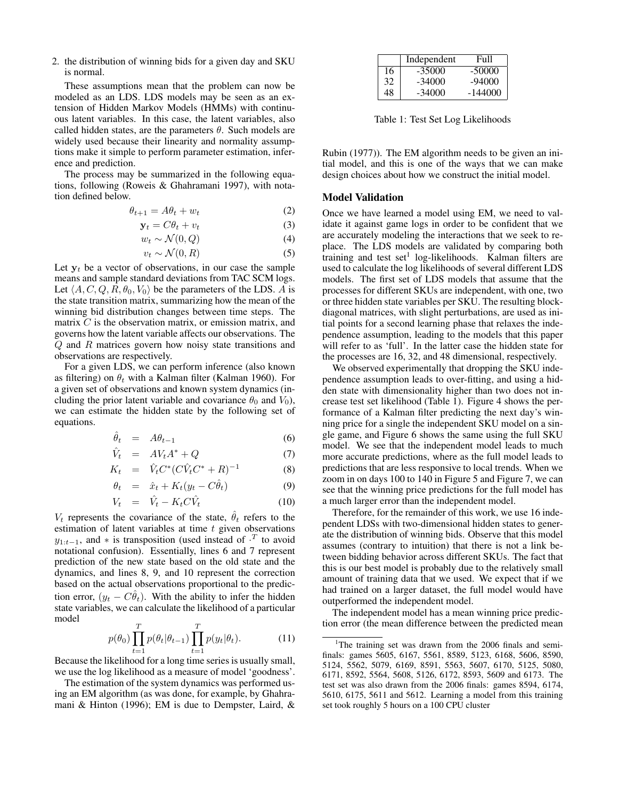2. the distribution of winning bids for a given day and SKU is normal.

These assumptions mean that the problem can now be modeled as an LDS. LDS models may be seen as an extension of Hidden Markov Models (HMMs) with continuous latent variables. In this case, the latent variables, also called hidden states, are the parameters  $\theta$ . Such models are widely used because their linearity and normality assumptions make it simple to perform parameter estimation, inference and prediction.

The process may be summarized in the following equations, following (Roweis & Ghahramani 1997), with notation defined below.

$$
\theta_{t+1} = A\theta_t + w_t \tag{2}
$$

$$
\mathbf{y}_t = C\theta_t + v_t \tag{3}
$$

$$
w_t \sim \mathcal{N}(0, Q) \tag{4}
$$

$$
v_t \sim \mathcal{N}(0, R) \tag{5}
$$

Let  $y_t$  be a vector of observations, in our case the sample means and sample standard deviations from TAC SCM logs. Let  $\langle A, C, Q, R, \theta_0, V_0 \rangle$  be the parameters of the LDS. A is the state transition matrix, summarizing how the mean of the winning bid distribution changes between time steps. The matrix  $C$  is the observation matrix, or emission matrix, and governs how the latent variable affects our observations. The Q and R matrices govern how noisy state transitions and observations are respectively.

For a given LDS, we can perform inference (also known as filtering) on  $\theta_t$  with a Kalman filter (Kalman 1960). For a given set of observations and known system dynamics (including the prior latent variable and covariance  $\theta_0$  and  $V_0$ ), we can estimate the hidden state by the following set of equations.

$$
\hat{\theta}_t = A\theta_{t-1} \tag{6}
$$

$$
\hat{V}_t = A V_t A^* + Q \tag{7}
$$

$$
K_t = \hat{V}_t C^* (C \hat{V}_t C^* + R)^{-1}
$$
 (8)

$$
\theta_t = \hat{x}_t + K_t (y_t - C\hat{\theta}_t) \tag{9}
$$

$$
V_t = \hat{V}_t - K_t C \hat{V}_t \tag{10}
$$

 $V_t$  represents the covariance of the state,  $\hat{\theta}_t$  refers to the estimation of latent variables at time  $t$  given observations  $y_{1:t-1}$ , and  $*$  is transposition (used instead of  $\cdot^T$  to avoid notational confusion). Essentially, lines 6 and 7 represent prediction of the new state based on the old state and the dynamics, and lines 8, 9, and 10 represent the correction based on the actual observations proportional to the prediction error,  $(y_t - C\hat{\theta}_t)$ . With the ability to infer the hidden state variables, we can calculate the likelihood of a particular model

$$
p(\theta_0) \prod_{t=1}^T p(\theta_t | \theta_{t-1}) \prod_{t=1}^T p(y_t | \theta_t).
$$
 (11)

Because the likelihood for a long time series is usually small, we use the log likelihood as a measure of model 'goodness'.

The estimation of the system dynamics was performed using an EM algorithm (as was done, for example, by Ghahramani & Hinton (1996); EM is due to Dempster, Laird, &

|    | Independent | Full      |
|----|-------------|-----------|
| 16 | $-35000$    | $-50000$  |
| 32 | $-34000$    | $-94000$  |
| 48 | -34000      | $-144000$ |

Table 1: Test Set Log Likelihoods

Rubin (1977)). The EM algorithm needs to be given an initial model, and this is one of the ways that we can make design choices about how we construct the initial model.

### Model Validation

Once we have learned a model using EM, we need to validate it against game logs in order to be confident that we are accurately modeling the interactions that we seek to replace. The LDS models are validated by comparing both training and test set<sup>1</sup> log-likelihoods. Kalman filters are used to calculate the log likelihoods of several different LDS models. The first set of LDS models that assume that the processes for different SKUs are independent, with one, two or three hidden state variables per SKU. The resulting blockdiagonal matrices, with slight perturbations, are used as initial points for a second learning phase that relaxes the independence assumption, leading to the models that this paper will refer to as 'full'. In the latter case the hidden state for the processes are 16, 32, and 48 dimensional, respectively.

We observed experimentally that dropping the SKU independence assumption leads to over-fitting, and using a hidden state with dimensionality higher than two does not increase test set likelihood (Table 1). Figure 4 shows the performance of a Kalman filter predicting the next day's winning price for a single the independent SKU model on a single game, and Figure 6 shows the same using the full SKU model. We see that the independent model leads to much more accurate predictions, where as the full model leads to predictions that are less responsive to local trends. When we zoom in on days 100 to 140 in Figure 5 and Figure 7, we can see that the winning price predictions for the full model has a much larger error than the independent model.

Therefore, for the remainder of this work, we use 16 independent LDSs with two-dimensional hidden states to generate the distribution of winning bids. Observe that this model assumes (contrary to intuition) that there is not a link between bidding behavior across different SKUs. The fact that this is our best model is probably due to the relatively small amount of training data that we used. We expect that if we had trained on a larger dataset, the full model would have outperformed the independent model.

The independent model has a mean winning price prediction error (the mean difference between the predicted mean

<sup>&</sup>lt;sup>1</sup>The training set was drawn from the  $2006$  finals and semifinals: games 5605, 6167, 5561, 8589, 5123, 6168, 5606, 8590, 5124, 5562, 5079, 6169, 8591, 5563, 5607, 6170, 5125, 5080, 6171, 8592, 5564, 5608, 5126, 6172, 8593, 5609 and 6173. The test set was also drawn from the 2006 finals: games 8594, 6174, 5610, 6175, 5611 and 5612. Learning a model from this training set took roughly 5 hours on a 100 CPU cluster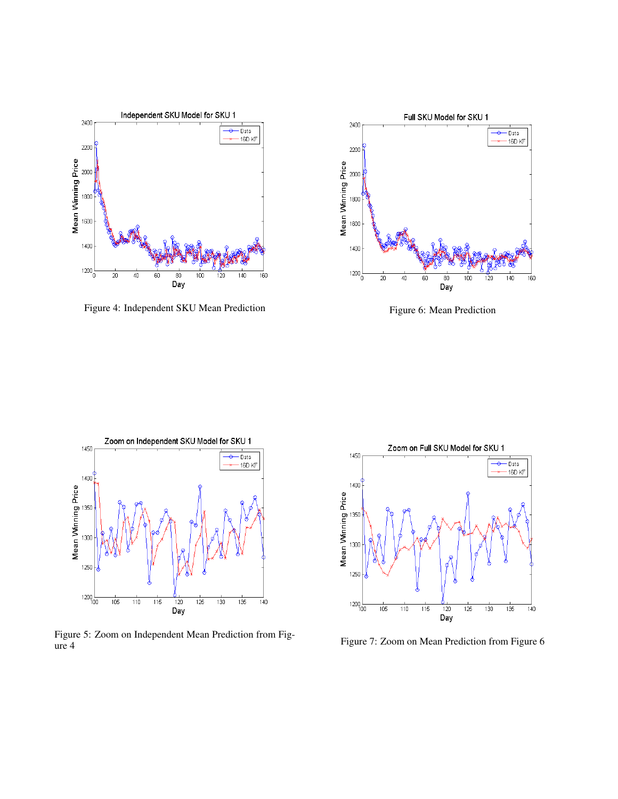

Figure 4: Independent SKU Mean Prediction



Figure 6: Mean Prediction



Figure 5: Zoom on Independent Mean Prediction from Figure 4



Figure 7: Zoom on Mean Prediction from Figure 6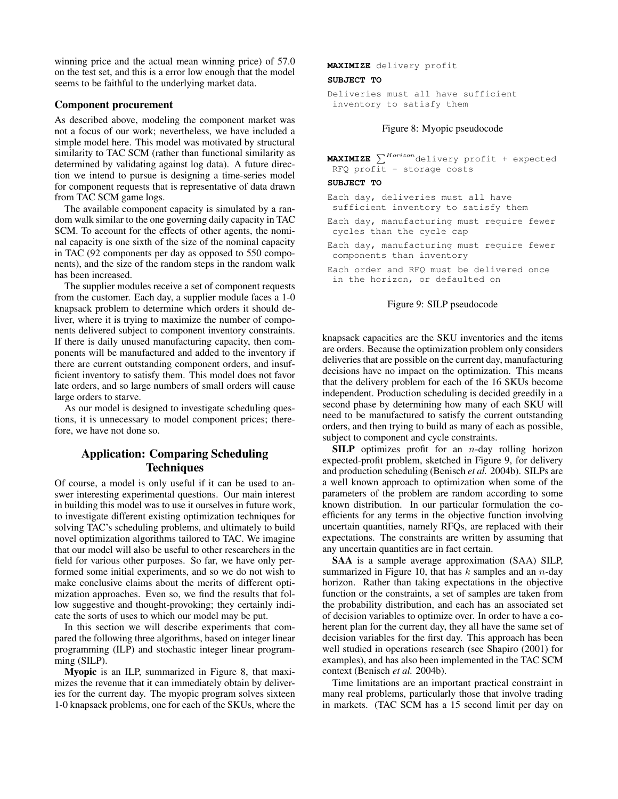winning price and the actual mean winning price) of 57.0 on the test set, and this is a error low enough that the model seems to be faithful to the underlying market data.

## Component procurement

As described above, modeling the component market was not a focus of our work; nevertheless, we have included a simple model here. This model was motivated by structural similarity to TAC SCM (rather than functional similarity as determined by validating against log data). A future direction we intend to pursue is designing a time-series model for component requests that is representative of data drawn from TAC SCM game logs.

The available component capacity is simulated by a random walk similar to the one governing daily capacity in TAC SCM. To account for the effects of other agents, the nominal capacity is one sixth of the size of the nominal capacity in TAC (92 components per day as opposed to 550 components), and the size of the random steps in the random walk has been increased.

The supplier modules receive a set of component requests from the customer. Each day, a supplier module faces a 1-0 knapsack problem to determine which orders it should deliver, where it is trying to maximize the number of components delivered subject to component inventory constraints. If there is daily unused manufacturing capacity, then components will be manufactured and added to the inventory if there are current outstanding component orders, and insufficient inventory to satisfy them. This model does not favor late orders, and so large numbers of small orders will cause large orders to starve.

As our model is designed to investigate scheduling questions, it is unnecessary to model component prices; therefore, we have not done so.

# Application: Comparing Scheduling **Techniques**

Of course, a model is only useful if it can be used to answer interesting experimental questions. Our main interest in building this model was to use it ourselves in future work, to investigate different existing optimization techniques for solving TAC's scheduling problems, and ultimately to build novel optimization algorithms tailored to TAC. We imagine that our model will also be useful to other researchers in the field for various other purposes. So far, we have only performed some initial experiments, and so we do not wish to make conclusive claims about the merits of different optimization approaches. Even so, we find the results that follow suggestive and thought-provoking; they certainly indicate the sorts of uses to which our model may be put.

In this section we will describe experiments that compared the following three algorithms, based on integer linear programming (ILP) and stochastic integer linear programming (SILP).

Myopic is an ILP, summarized in Figure 8, that maximizes the revenue that it can immediately obtain by deliveries for the current day. The myopic program solves sixteen 1-0 knapsack problems, one for each of the SKUs, where the **MAXIMIZE** delivery profit **SUBJECT TO**

Deliveries must all have sufficient inventory to satisfy them

### Figure 8: Myopic pseudocode

**MAXIMIZE**  $\sum^{Horizon}$  delivery profit + expected RFQ profit - storage costs

#### **SUBJECT TO**

Each day, deliveries must all have sufficient inventory to satisfy them

Each day, manufacturing must require fewer cycles than the cycle cap

Each day, manufacturing must require fewer components than inventory

Each order and RFQ must be delivered once in the horizon, or defaulted on

#### Figure 9: SILP pseudocode

knapsack capacities are the SKU inventories and the items are orders. Because the optimization problem only considers deliveries that are possible on the current day, manufacturing decisions have no impact on the optimization. This means that the delivery problem for each of the 16 SKUs become independent. Production scheduling is decided greedily in a second phase by determining how many of each SKU will need to be manufactured to satisfy the current outstanding orders, and then trying to build as many of each as possible, subject to component and cycle constraints.

**SILP** optimizes profit for an  $n$ -day rolling horizon expected-profit problem, sketched in Figure 9, for delivery and production scheduling (Benisch *et al.* 2004b). SILPs are a well known approach to optimization when some of the parameters of the problem are random according to some known distribution. In our particular formulation the coefficients for any terms in the objective function involving uncertain quantities, namely RFQs, are replaced with their expectations. The constraints are written by assuming that any uncertain quantities are in fact certain.

SAA is a sample average approximation (SAA) SILP, summarized in Figure 10, that has  $k$  samples and an  $n$ -day horizon. Rather than taking expectations in the objective function or the constraints, a set of samples are taken from the probability distribution, and each has an associated set of decision variables to optimize over. In order to have a coherent plan for the current day, they all have the same set of decision variables for the first day. This approach has been well studied in operations research (see Shapiro (2001) for examples), and has also been implemented in the TAC SCM context (Benisch *et al.* 2004b).

Time limitations are an important practical constraint in many real problems, particularly those that involve trading in markets. (TAC SCM has a 15 second limit per day on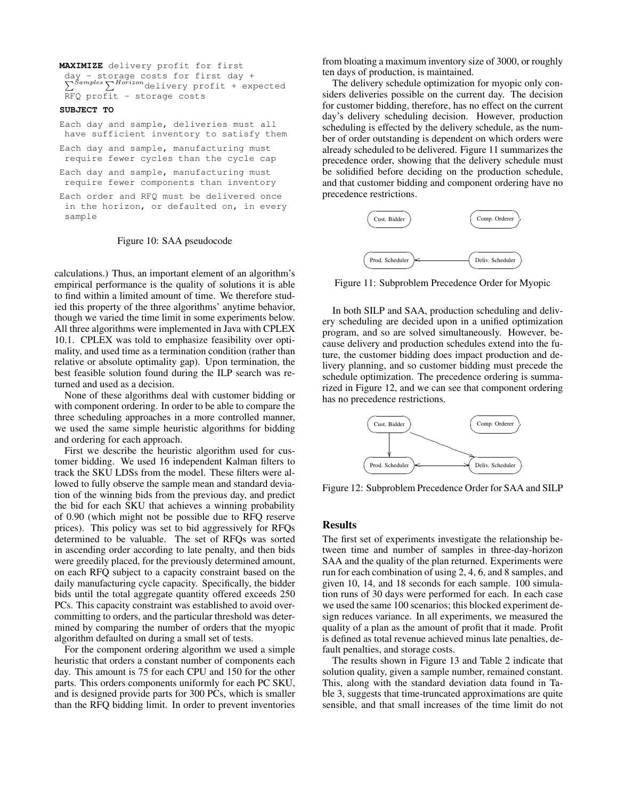```
MAXIMIZE delivery profit for first
 day - storage costs for first day +
 \sum_{i=1}^{Samples} \sum_{i=1}^{Ho\tilde{r}izon}delivery profit + expected
 RFQ profit - storage costs
SUBJECT TO
Each day and sample, deliveries must all
```

```
have sufficient inventory to satisfy them
Each day and sample, manufacturing must
require fewer cycles than the cycle cap
Each day and sample, manufacturing must
require fewer components than inventory
```
Each order and RFQ must be delivered once in the horizon, or defaulted on, in every sample

#### Figure 10: SAA pseudocode

calculations.) Thus, an important element of an algorithm's empirical performance is the quality of solutions it is able to find within a limited amount of time. We therefore studied this property of the three algorithms' anytime behavior, though we varied the time limit in some experiments below. All three algorithms were implemented in Java with CPLEX 10.1. CPLEX was told to emphasize feasibility over optimality, and used time as a termination condition (rather than relative or absolute optimality gap). Upon termination, the best feasible solution found during the ILP search was returned and used as a decision.

None of these algorithms deal with customer bidding or with component ordering. In order to be able to compare the three scheduling approaches in a more controlled manner, we used the same simple heuristic algorithms for bidding and ordering for each approach.

First we describe the heuristic algorithm used for customer bidding. We used 16 independent Kalman filters to track the SKU LDSs from the model. These filters were allowed to fully observe the sample mean and standard deviation of the winning bids from the previous day, and predict the bid for each SKU that achieves a winning probability of 0.90 (which might not be possible due to RFQ reserve prices). This policy was set to bid aggressively for RFQs determined to be valuable. The set of RFQs was sorted in ascending order according to late penalty, and then bids were greedily placed, for the previously determined amount, on each RFQ subject to a capacity constraint based on the daily manufacturing cycle capacity. Specifically, the bidder bids until the total aggregate quantity offered exceeds 250 PCs. This capacity constraint was established to avoid overcommitting to orders, and the particular threshold was determined by comparing the number of orders that the myopic algorithm defaulted on during a small set of tests.

For the component ordering algorithm we used a simple heuristic that orders a constant number of components each day. This amount is 75 for each CPU and 150 for the other parts. This orders components uniformly for each PC SKU, and is designed provide parts for 300 PCs, which is smaller than the RFQ bidding limit. In order to prevent inventories

from bloating a maximum inventory size of 3000, or roughly ten days of production, is maintained.

The delivery schedule optimization for myopic only considers deliveries possible on the current day. The decision for customer bidding, therefore, has no effect on the current day's delivery scheduling decision. However, production scheduling is effected by the delivery schedule, as the number of order outstanding is dependent on which orders were already scheduled to be delivered. Figure 11 summarizes the precedence order, showing that the delivery schedule must be solidified before deciding on the production schedule, and that customer bidding and component ordering have no precedence restrictions.



Figure 11: Subproblem Precedence Order for Myopic

In both SILP and SAA, production scheduling and delivery scheduling are decided upon in a unified optimization program, and so are solved simultaneously. However, because delivery and production schedules extend into the future, the customer bidding does impact production and delivery planning, and so customer bidding must precede the schedule optimization. The precedence ordering is summarized in Figure 12, and we can see that component ordering has no precedence restrictions.



Figure 12: Subproblem Precedence Order for SAA and SILP

### Results

The first set of experiments investigate the relationship between time and number of samples in three-day-horizon SAA and the quality of the plan returned. Experiments were run for each combination of using 2, 4, 6, and 8 samples, and given 10, 14, and 18 seconds for each sample. 100 simulation runs of 30 days were performed for each. In each case we used the same 100 scenarios; this blocked experiment design reduces variance. In all experiments, we measured the quality of a plan as the amount of profit that it made. Profit is defined as total revenue achieved minus late penalties, default penalties, and storage costs.

The results shown in Figure 13 and Table 2 indicate that solution quality, given a sample number, remained constant. This, along with the standard deviation data found in Table 3, suggests that time-truncated approximations are quite sensible, and that small increases of the time limit do not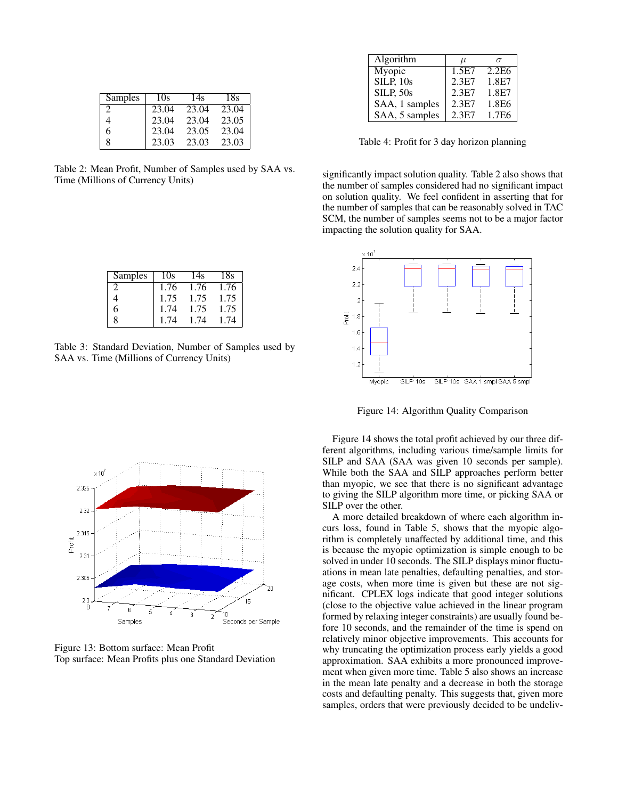| Samples                     | 10s   | 14s   | 18s   |
|-----------------------------|-------|-------|-------|
| $\mathcal{D}_{\mathcal{L}}$ | 23.04 | 23.04 | 23.04 |
|                             | 23.04 | 23.04 | 23.05 |
| 6                           | 23.04 | 23.05 | 23.04 |
| 8                           | 23.03 | 23.03 | 23.03 |

Table 2: Mean Profit, Number of Samples used by SAA vs. Time (Millions of Currency Units)

| Samples       | 10s  | 14s  | 18s  |
|---------------|------|------|------|
| $\mathcal{L}$ | 1.76 | 1.76 | 1.76 |
|               | 1.75 | 1.75 | 1.75 |
| 6             | 1.74 | 1.75 | 1.75 |
| 8             | 1.74 | 1.74 | 1.74 |

Table 3: Standard Deviation, Number of Samples used by SAA vs. Time (Millions of Currency Units)



Figure 13: Bottom surface: Mean Profit Top surface: Mean Profits plus one Standard Deviation

| Algorithm        | $\mu$ |                   |
|------------------|-------|-------------------|
| Myopic           | 1.5E7 | 2.2E6             |
| <b>SILP, 10s</b> | 2.3E7 | 1.8E7             |
| <b>SILP, 50s</b> | 2.3E7 | 1.8E7             |
| SAA, 1 samples   | 2.3E7 | 1.8E6             |
| SAA, 5 samples   | 2.3E7 | 1.7E <sub>6</sub> |

Table 4: Profit for 3 day horizon planning

significantly impact solution quality. Table 2 also shows that the number of samples considered had no significant impact on solution quality. We feel confident in asserting that for the number of samples that can be reasonably solved in TAC SCM, the number of samples seems not to be a major factor impacting the solution quality for SAA.



Figure 14: Algorithm Quality Comparison

Figure 14 shows the total profit achieved by our three different algorithms, including various time/sample limits for SILP and SAA (SAA was given 10 seconds per sample). While both the SAA and SILP approaches perform better than myopic, we see that there is no significant advantage to giving the SILP algorithm more time, or picking SAA or SILP over the other.

A more detailed breakdown of where each algorithm incurs loss, found in Table 5, shows that the myopic algorithm is completely unaffected by additional time, and this is because the myopic optimization is simple enough to be solved in under 10 seconds. The SILP displays minor fluctuations in mean late penalties, defaulting penalties, and storage costs, when more time is given but these are not significant. CPLEX logs indicate that good integer solutions (close to the objective value achieved in the linear program formed by relaxing integer constraints) are usually found before 10 seconds, and the remainder of the time is spend on relatively minor objective improvements. This accounts for why truncating the optimization process early yields a good approximation. SAA exhibits a more pronounced improvement when given more time. Table 5 also shows an increase in the mean late penalty and a decrease in both the storage costs and defaulting penalty. This suggests that, given more samples, orders that were previously decided to be undeliv-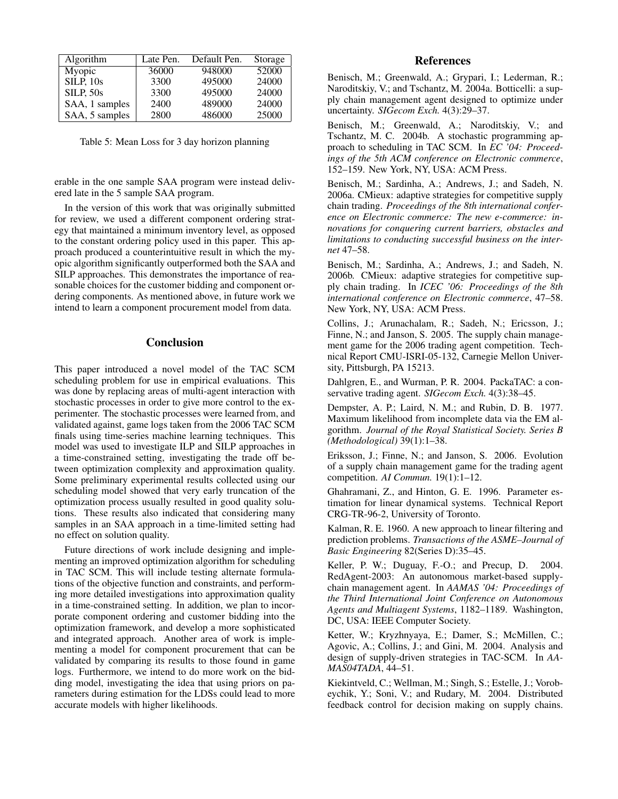| Algorithm        | Late Pen. | Default Pen. | Storage |
|------------------|-----------|--------------|---------|
| Myopic           | 36000     | 948000       | 52000   |
| <b>SILP, 10s</b> | 3300      | 495000       | 24000   |
| <b>SILP, 50s</b> | 3300      | 495000       | 24000   |
| SAA, 1 samples   | 2400      | 489000       | 24000   |
| SAA, 5 samples   | 2800      | 486000       | 25000   |

Table 5: Mean Loss for 3 day horizon planning

erable in the one sample SAA program were instead delivered late in the 5 sample SAA program.

In the version of this work that was originally submitted for review, we used a different component ordering strategy that maintained a minimum inventory level, as opposed to the constant ordering policy used in this paper. This approach produced a counterintuitive result in which the myopic algorithm significantly outperformed both the SAA and SILP approaches. This demonstrates the importance of reasonable choices for the customer bidding and component ordering components. As mentioned above, in future work we intend to learn a component procurement model from data.

### **Conclusion**

This paper introduced a novel model of the TAC SCM scheduling problem for use in empirical evaluations. This was done by replacing areas of multi-agent interaction with stochastic processes in order to give more control to the experimenter. The stochastic processes were learned from, and validated against, game logs taken from the 2006 TAC SCM finals using time-series machine learning techniques. This model was used to investigate ILP and SILP approaches in a time-constrained setting, investigating the trade off between optimization complexity and approximation quality. Some preliminary experimental results collected using our scheduling model showed that very early truncation of the optimization process usually resulted in good quality solutions. These results also indicated that considering many samples in an SAA approach in a time-limited setting had no effect on solution quality.

Future directions of work include designing and implementing an improved optimization algorithm for scheduling in TAC SCM. This will include testing alternate formulations of the objective function and constraints, and performing more detailed investigations into approximation quality in a time-constrained setting. In addition, we plan to incorporate component ordering and customer bidding into the optimization framework, and develop a more sophisticated and integrated approach. Another area of work is implementing a model for component procurement that can be validated by comparing its results to those found in game logs. Furthermore, we intend to do more work on the bidding model, investigating the idea that using priors on parameters during estimation for the LDSs could lead to more accurate models with higher likelihoods.

## **References**

Benisch, M.; Greenwald, A.; Grypari, I.; Lederman, R.; Naroditskiy, V.; and Tschantz, M. 2004a. Botticelli: a supply chain management agent designed to optimize under uncertainty. *SIGecom Exch.* 4(3):29–37.

Benisch, M.; Greenwald, A.; Naroditskiy, V.; and Tschantz, M. C. 2004b. A stochastic programming approach to scheduling in TAC SCM. In *EC '04: Proceedings of the 5th ACM conference on Electronic commerce*, 152–159. New York, NY, USA: ACM Press.

Benisch, M.; Sardinha, A.; Andrews, J.; and Sadeh, N. 2006a. CMieux: adaptive strategies for competitive supply chain trading. *Proceedings of the 8th international conference on Electronic commerce: The new e-commerce: innovations for conquering current barriers, obstacles and limitations to conducting successful business on the internet* 47–58.

Benisch, M.; Sardinha, A.; Andrews, J.; and Sadeh, N. 2006b. CMieux: adaptive strategies for competitive supply chain trading. In *ICEC '06: Proceedings of the 8th international conference on Electronic commerce*, 47–58. New York, NY, USA: ACM Press.

Collins, J.; Arunachalam, R.; Sadeh, N.; Ericsson, J.; Finne, N.; and Janson, S. 2005. The supply chain management game for the 2006 trading agent competition. Technical Report CMU-ISRI-05-132, Carnegie Mellon University, Pittsburgh, PA 15213.

Dahlgren, E., and Wurman, P. R. 2004. PackaTAC: a conservative trading agent. *SIGecom Exch.* 4(3):38–45.

Dempster, A. P.; Laird, N. M.; and Rubin, D. B. 1977. Maximum likelihood from incomplete data via the EM algorithm. *Journal of the Royal Statistical Society. Series B (Methodological)* 39(1):1–38.

Eriksson, J.; Finne, N.; and Janson, S. 2006. Evolution of a supply chain management game for the trading agent competition. *AI Commun.* 19(1):1–12.

Ghahramani, Z., and Hinton, G. E. 1996. Parameter estimation for linear dynamical systems. Technical Report CRG-TR-96-2, University of Toronto.

Kalman, R. E. 1960. A new approach to linear filtering and prediction problems. *Transactions of the ASME–Journal of Basic Engineering* 82(Series D):35–45.

Keller, P. W.; Duguay, F.-O.; and Precup, D. 2004. RedAgent-2003: An autonomous market-based supplychain management agent. In *AAMAS '04: Proceedings of the Third International Joint Conference on Autonomous Agents and Multiagent Systems*, 1182–1189. Washington, DC, USA: IEEE Computer Society.

Ketter, W.; Kryzhnyaya, E.; Damer, S.; McMillen, C.; Agovic, A.; Collins, J.; and Gini, M. 2004. Analysis and design of supply-driven strategies in TAC-SCM. In *AA-MAS04TADA*, 44–51.

Kiekintveld, C.; Wellman, M.; Singh, S.; Estelle, J.; Vorobeychik, Y.; Soni, V.; and Rudary, M. 2004. Distributed feedback control for decision making on supply chains.